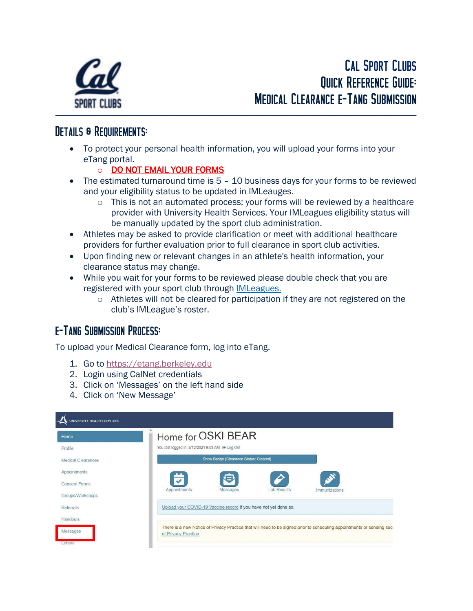

## DETAILS & REQUIREMENTS:

- To protect your personal health information, you will upload your forms into your eTang portal.
	- o DO NOT EMAIL YOUR FORMS
- The estimated turnaround time is 5 10 business days for your forms to be reviewed and your eligibility status to be updated in IMLeauges.
	- $\circ$  This is not an automated process; your forms will be reviewed by a healthcare provider with University Health Services. Your IMLeagues eligibility status will be manually updated by the sport club administration.
- Athletes may be asked to provide clarification or meet with additional healthcare providers for further evaluation prior to full clearance in sport club activities.
- Upon finding new or relevant changes in an athlete's health information, your clearance status may change.
- While you wait for your forms to be reviewed please double check that you are registered with your sport club through [IMLeagues.](https://shop.rs.berkeley.edu/IMLeague)
	- $\circ$  Athletes will not be cleared for participation if they are not registered on the club's IMLeague's roster.

## e-Tang Submission Process:

To upload your Medical Clearance form, log into eTang.

- 1. Go to [https://etang.berkeley.edu](https://etang.berkeley.edu/)
- 2. Login using CalNet credentials
- 3. Click on 'Messages' on the left hand side
- 4. Click on 'New Message'

| <b>INIVERSITY HEALTH SERVICES</b> |                                                                                                                                               |  |  |  |
|-----------------------------------|-----------------------------------------------------------------------------------------------------------------------------------------------|--|--|--|
| Home                              | Home for OSKI BEAR                                                                                                                            |  |  |  |
| Profile                           | You last logged in: 8/12/2021 9:53 AM @ Log Out                                                                                               |  |  |  |
| <b>Medical Clearances</b>         | Show Badge (Clearance Status: Cleared)                                                                                                        |  |  |  |
| Appointments                      |                                                                                                                                               |  |  |  |
| <b>Consent Forms</b>              | Lab Results                                                                                                                                   |  |  |  |
| Groups/Workshops                  | Appointments<br>Messages<br>Immunizations                                                                                                     |  |  |  |
| Referrals                         | Upload your COVID-19 Vaccine record if you have not yet done so.                                                                              |  |  |  |
| Handouts                          |                                                                                                                                               |  |  |  |
| Messages                          | There is a new Notice of Privacy Practice that will need to be signed prior to scheduling appointments or sending secu<br>of Privacy Practice |  |  |  |
| Letters                           |                                                                                                                                               |  |  |  |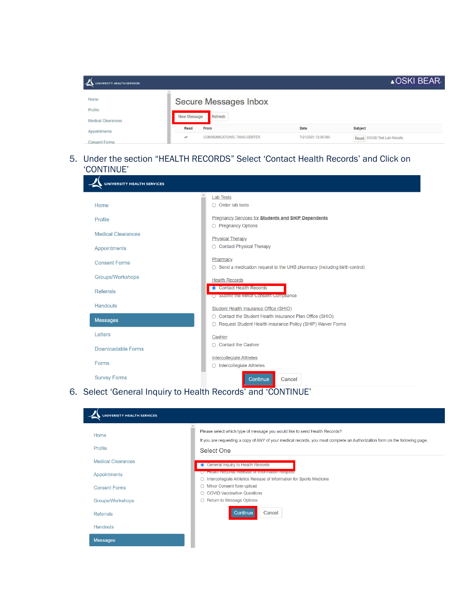| NIVERSITY HEALTH SERVICES |                       |                             |                    | ▲OSKI BEAR-                 |  |
|---------------------------|-----------------------|-----------------------------|--------------------|-----------------------------|--|
| Home                      | Secure Messages Inbox |                             |                    |                             |  |
| Profile                   |                       |                             |                    |                             |  |
| <b>Medical Clearances</b> | New Message           | Refresh                     |                    |                             |  |
| Appointments              | Read                  | From                        | Date               | Subject                     |  |
| <b>Consent Forms</b>      | $\checkmark$          | COMMUNICATIONS, TANG CENTER | 7/21/2021 12:00 AM | Read COVID Test Lab Results |  |

## 5. Under the section "HEALTH RECORDS" Select 'Contact Health Records' and Click on 'CONTINUE'

| <b>UNIVERSITY HEALTH SERVICES</b> |                                                                                                                            |
|-----------------------------------|----------------------------------------------------------------------------------------------------------------------------|
| $\blacktriangle$                  | <b>Lab Tests</b>                                                                                                           |
| Home                              | $\bigcirc$ Order lab tests                                                                                                 |
| Profile                           | <b>Pregnancy Services for Students and SHIP Dependents</b><br>○ Pregnancy Options                                          |
| <b>Medical Clearances</b>         | <b>Physical Therapy</b>                                                                                                    |
| Appointments                      | ◯ Contact Physical Therapy                                                                                                 |
| <b>Consent Forms</b>              | Pharmacy<br>○ Send a medication request to the UHS pharmacy (including birth control)                                      |
| Groups/Workshops                  | <b>Health Records</b>                                                                                                      |
| <b>Referrals</b>                  | • Contact Health Records<br>◯ Submit the Minor Consent Compilance                                                          |
| <b>Handouts</b>                   | Student Health Insurance Office (SHIO)                                                                                     |
| <b>Messages</b>                   | ◯ Contact the Student Health Insurance Plan Office (SHIO)<br>○ Request Student Health Insurance Policy (SHIP) Waiver Forms |
| Letters                           | Cashier                                                                                                                    |
| Downloadable Forms                | $\bigcap$ Contact the Cashier                                                                                              |
| Forms                             | <b>Intercollegiate Athletes</b><br>$\bigcirc$ Intercollegiate Athletes                                                     |
| <b>Survey Forms</b>               | Continue<br>Cancel                                                                                                         |

6. Select 'General Inquiry to Health Records' and 'CONTINUE'